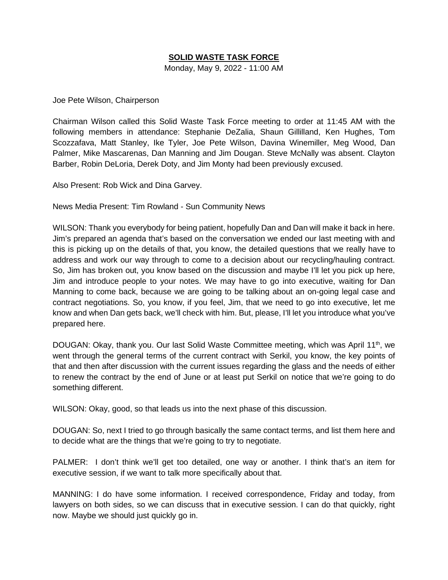## **SOLID WASTE TASK FORCE**

Monday, May 9, 2022 - 11:00 AM

Joe Pete Wilson, Chairperson

Chairman Wilson called this Solid Waste Task Force meeting to order at 11:45 AM with the following members in attendance: Stephanie DeZalia, Shaun Gillilland, Ken Hughes, Tom Scozzafava, Matt Stanley, Ike Tyler, Joe Pete Wilson, Davina Winemiller, Meg Wood, Dan Palmer, Mike Mascarenas, Dan Manning and Jim Dougan. Steve McNally was absent. Clayton Barber, Robin DeLoria, Derek Doty, and Jim Monty had been previously excused.

Also Present: Rob Wick and Dina Garvey.

News Media Present: Tim Rowland - Sun Community News

WILSON: Thank you everybody for being patient, hopefully Dan and Dan will make it back in here. Jim's prepared an agenda that's based on the conversation we ended our last meeting with and this is picking up on the details of that, you know, the detailed questions that we really have to address and work our way through to come to a decision about our recycling/hauling contract. So, Jim has broken out, you know based on the discussion and maybe I'll let you pick up here, Jim and introduce people to your notes. We may have to go into executive, waiting for Dan Manning to come back, because we are going to be talking about an on-going legal case and contract negotiations. So, you know, if you feel, Jim, that we need to go into executive, let me know and when Dan gets back, we'll check with him. But, please, I'll let you introduce what you've prepared here.

DOUGAN: Okay, thank you. Our last Solid Waste Committee meeting, which was April 11<sup>th</sup>, we went through the general terms of the current contract with Serkil, you know, the key points of that and then after discussion with the current issues regarding the glass and the needs of either to renew the contract by the end of June or at least put Serkil on notice that we're going to do something different.

WILSON: Okay, good, so that leads us into the next phase of this discussion.

DOUGAN: So, next I tried to go through basically the same contact terms, and list them here and to decide what are the things that we're going to try to negotiate.

PALMER: I don't think we'll get too detailed, one way or another. I think that's an item for executive session, if we want to talk more specifically about that.

MANNING: I do have some information. I received correspondence, Friday and today, from lawyers on both sides, so we can discuss that in executive session. I can do that quickly, right now. Maybe we should just quickly go in.